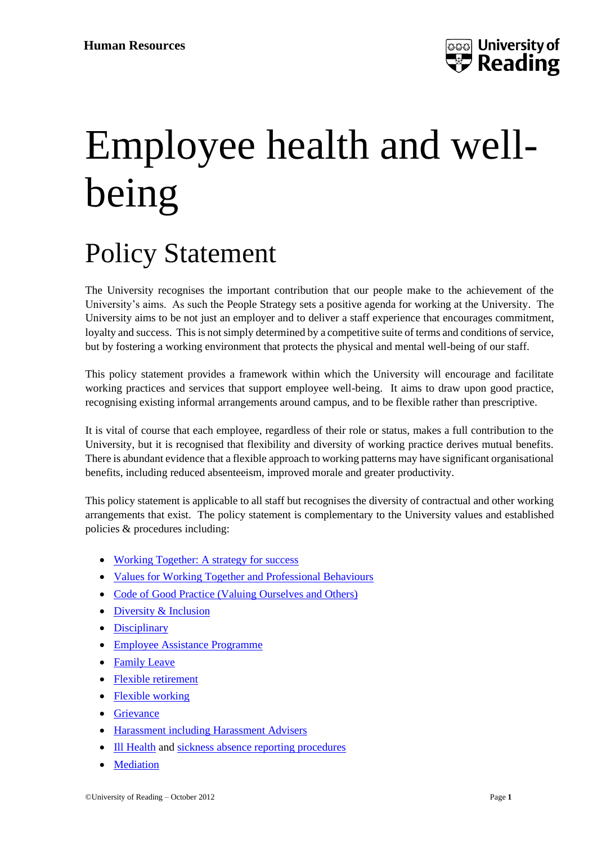## Employee health and wellbeing

## Policy Statement

The University recognises the important contribution that our people make to the achievement of the University's aims. As such the People Strategy sets a positive agenda for working at the University. The University aims to be not just an employer and to deliver a staff experience that encourages commitment, loyalty and success. This is not simply determined by a competitive suite of terms and conditions of service, but by fostering a working environment that protects the physical and mental well-being of our staff.

This policy statement provides a framework within which the University will encourage and facilitate working practices and services that support employee well-being. It aims to draw upon good practice, recognising existing informal arrangements around campus, and to be flexible rather than prescriptive.

It is vital of course that each employee, regardless of their role or status, makes a full contribution to the University, but it is recognised that flexibility and diversity of working practice derives mutual benefits. There is abundant evidence that a flexible approach to working patterns may have significant organisational benefits, including reduced absenteeism, improved morale and greater productivity.

This policy statement is applicable to all staff but recognises the diversity of contractual and other working arrangements that exist. The policy statement is complementary to the University values and established policies & procedures including:

- [Working Together: A strategy for success](https://www.reading.ac.uk/human-resources/working-at-reading/working-together-a-strategy-for-success)
- [Values for Working Together and Professional Behaviours](https://www.reading.ac.uk/human-resources/-/media/project/functions/human-resources/documents/humresvalues-for-working-together-and-professional-behaviours.pdf?la=en&hash=0528F51C4148B5C8A1F0A9ECD90941E2)
- [Code of Good Practice \(Valuing Ourselves and Others\)](https://www.reading.ac.uk/web/files/Calendar/G_Code_of_Good_Practice.pdf)
- [Diversity & Inclusion](https://www.reading.ac.uk/diversity/)
- [Disciplinary](https://www.reading.ac.uk/human-resources/policies-and-procedures/resolving-problems-at-work/discipline-and-misconduct)
- [Employee Assistance Programme](https://www.reading.ac.uk/human-resources/Closed%20Login?returnUrl=%2Fhuman-resources%2Fclosed%2Femployee-assistance-programme-confidential-care)
- [Family Leave](https://www.reading.ac.uk/human-resources/policies-and-procedures/absence-and-leave/family-leave)
- [Flexible retirement](https://www.reading.ac.uk/human-resources/working-at-reading/flexible-retirement)
- [Flexible working](https://www.reading.ac.uk/human-resources/working-at-reading/flexible-working)
- [Grievance](https://www.reading.ac.uk/human-resources/policies-and-procedures/resolving-problems-at-work/employee-grievances)
- Harassment [including Harassment Advisers](https://www.reading.ac.uk/diversity/harassment-reporting-and-support)
- [Ill Health](https://www.reading.ac.uk/human-resources/human-resources/-/media/project/functions/human-resources/documents/ill-health-procedure-august-2015.pdf) an[d sickness absence reporting procedures](https://www.reading.ac.uk/human-resources/-/media/project/functions/human-resources/documents/sickness-absence-reporting-procedures-feb-2022.pdf?la=en&hash=24322A21282C9F80F85F27DE65A39B7B)
- [Mediation](https://www.reading.ac.uk/human-resources/policies-and-procedures/resolving-problems-at-work/mediation)